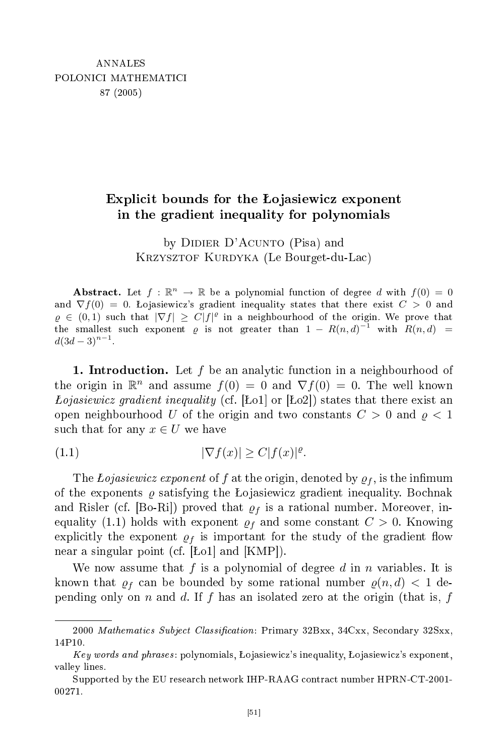## ited and the contract of the contract of the contract of the contract of the contract of the contract of the contract of the contract of the contract of the contract of the contract of the contract of the contract of the c bounds for the o jasiewi
z exponent in the gradient inequality for polynomials

by DIDIER D'ACUNTO (Pisa) and KRZYSZTOF KURDYKA (Le Bourget-du-Lac)

Abstract. Let  $f : \mathbb{R}^n \to \mathbb{R}$  be a polynomial function of degree d with  $f(0) = 0$ and  $\nabla f(0) = 0$ . Lojasiewicz's gradient inequality states that there exist  $C > 0$  and  $\varrho \in (0,1)$  such that  $|\nabla f| \geq C|f|^{\varrho}$  in a neighbourhood of the origin. We prove that the smallest such exponent  $\varrho$  is not greater than  $1 - R(n, d)^{-1}$  with  $R(n, d)$  =  $d(3d-3)^{n-1}.$ 

**1.** Introduction. Let f be an analytic function in a neighbourhood of the origin in  $\mathbb{R}^n$  and assume  $f(0) = 0$  and  $\nabla f(0) = 0$ . The well known Lojasiewicz gradient inequality (cf. [Lo1] or [Lo2]) states that there exist an open neighbourhood U of the origin and two constants  $C > 0$  and  $\rho < 1$ such that for any  $x \in U$  we have

$$
(1.1) \t\t |\nabla f(x)| \ge C|f(x)|^{\varrho}.
$$

The Lojasiewicz exponent of f at the origin, denoted by  $\rho_f$ , is the infimum of the exponents  $\rho$  satisfying the Lojasiewicz gradient inequality. Bochnak and Risler (cf. [Bo-Ri]) proved that  $\rho_f$  is a rational number. Moreover, inequality (1.1) holds with exponent  $\rho_f$  and some constant  $C > 0$ . Knowing explicitly the exponent  $\rho_f$  is important for the study of the gradient flow near a singular point (cf.  $|Lo1|$  and  $|KMP|$ ).

We now assume that f is a polynomial of degree d in n variables. It is known that  $\rho_f$  can be bounded by some rational number  $\rho(n, d) < 1$  depending only on n and d. If f has an isolated zero at the origin (that is, f

<sup>2000</sup> Mathematics Subject Classification: Primary 32Bxx, 34Cxx, Secondary 32Sxx, 14P10.

Key words and phrases: polynomials, Lojasiewicz's inequality, Lojasiewicz's exponent, valley lines.

Supported by the EU research network IHP-RAAG contract number HPRN-CT-2001-00271.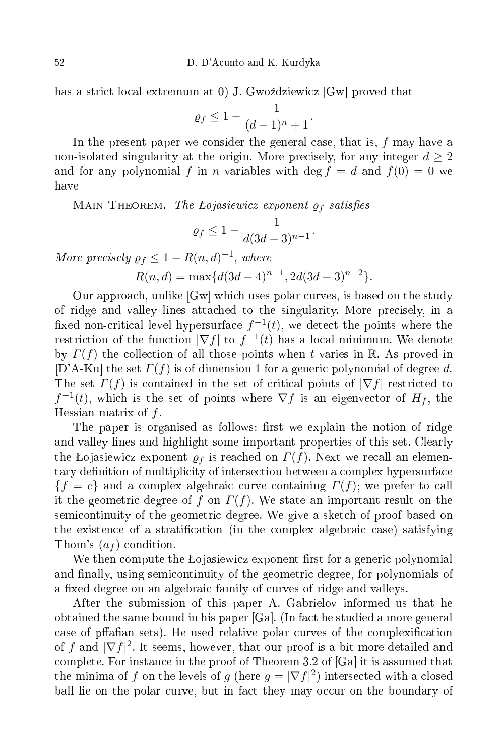has a strict local extremum at 0) J. Gwoździewicz [Gw] proved that

$$
\varrho_f \le 1 - \frac{1}{(d-1)^n + 1}.
$$

In the present paper we consider the general case, that is,  $f$  may have a non-isolated singularity at the origin. More precisely, for any integer  $d \geq 2$ and for any polynomial f in n variables with deg  $f = d$  and  $f(0) = 0$  we have

MAIN THEOREM. The Lojasiewicz exponent  $\rho_f$  satisfies

$$
\varrho_f \le 1 - \frac{1}{d(3d-3)^{n-1}}.
$$

More precisely  $\rho_f \leq 1 - R(n, d)^{-1}$ , where

$$
R(n, d) = \max\{d(3d - 4)^{n-1}, 2d(3d - 3)^{n-2}\}.
$$

Our approach, unlike [Gw] which uses polar curves, is based on the study of ridge and valley lines atta
hed to the singularity. More pre
isely, in a fixed non-critical level hypersurface  $f^{-1}(t)$ , we detect the points where the restriction of the function  $|\nabla f|$  to  $f^{-1}(t)$  has a local minimum. We denote by  $\Gamma(f)$  the collection of all those points when t varies in R. As proved in [D'A-Ku] the set  $\Gamma(f)$  is of dimension 1 for a generic polynomial of degree d. The set  $\Gamma(f)$  is contained in the set of critical points of  $|\nabla f|$  restricted to  $f^{-1}(t)$ , which is the set of points where  $\nabla f$  is an eigenvector of  $H_f$ , the Hessian matrix of  $f$ .

The paper is organised as follows: first we explain the notion of ridge and valley lines and highlight some important properties of this set. Clearly the Lojasiewicz exponent  $\rho_f$  is reached on  $\Gamma(f)$ . Next we recall an elementary definition of multiplicity of intersection between a complex hypersurface  ${f = c}$  and a complex algebraic curve containing  $\Gamma(f)$ ; we prefer to call it the geometric degree of f on  $\Gamma(f)$ . We state an important result on the semi
ontinuity of the geometri degree. We give a sket
h of proof based on the existence of a stratification (in the complex algebraic case) satisfying Thom's  $(a_f)$  condition.

We then compute the Lojasiewicz exponent first for a generic polynomial and finally, using semicontinuity of the geometric degree, for polynomials of a fixed degree on an algebraic family of curves of ridge and valleys.

After the submission of this paper A. Gabrielov informed us that he obtained the same bound in his paper  $[Ga]$ . (In fact he studied a more general case of pffafian sets). He used relative polar curves of the complexification of f and  $|\nabla f|^2$ . It seems, however, that our proof is a bit more detailed and complete. For instance in the proof of Theorem 3.2 of  $[Ga]$  it is assumed that the minima of f on the levels of g (here  $g = |\nabla f|^2$ ) intersected with a closed ball lie on the polar curve, but in fact they may occur on the boundary of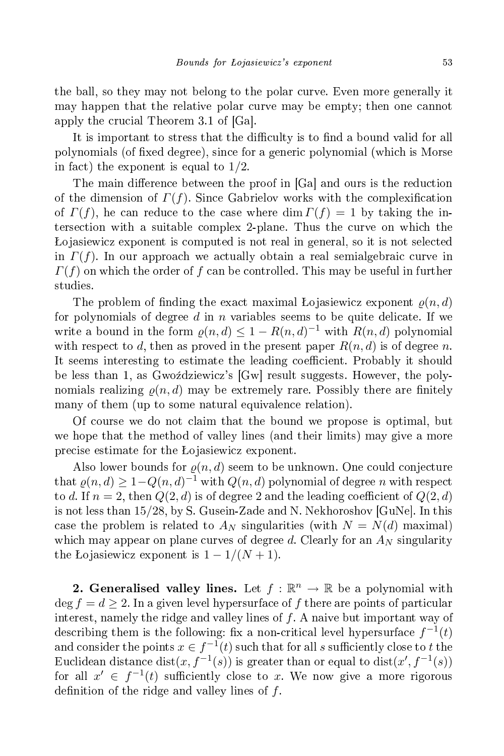the ball, so they may not belong to the polar curve. Even more generally it may happen that the relative polar curve may be empty; then one cannot apply the crucial Theorem 3.1 of  $[Ga]$ .

It is important to stress that the difficulty is to find a bound valid for all polynomials (of fixed degree), since for a generic polynomial (which is Morse in fact) the exponent is equal to  $1/2$ .

The main difference between the proof in [Ga] and ours is the reduction of the dimension of  $\Gamma(f)$ . Since Gabrielov works with the complexification of  $\Gamma(f)$ , he can reduce to the case where dim  $\Gamma(f) = 1$  by taking the intersection with a suitable complex 2-plane. Thus the curve on which the Lojasiewicz exponent is computed is not real in general, so it is not selected in  $\Gamma(f)$ . In our approach we actually obtain a real semialgebraic curve in  $\Gamma(f)$  on which the order of f can be controlled. This may be useful in further studies.

The problem of finding the exact maximal Lojasiewicz exponent  $\rho(n, d)$ for polynomials of degree  $d$  in  $n$  variables seems to be quite delicate. If we write a bound in the form  $\varrho(n,d) \leq 1 - R(n,d)^{-1}$  with  $R(n,d)$  polynomial with respect to d, then as proved in the present paper  $R(n, d)$  is of degree n. It seems interesting to estimate the leading coefficient. Probably it should be less than 1, as Gwoździewicz's [Gw] result suggests. However, the polynomials realizing  $\rho(n, d)$  may be extremely rare. Possibly there are finitely many of them (up to some natural equivalence relation).

Of ourse we do not laim that the bound we propose is optimal, but we hope that the method of valley lines (and their limits) may give a more precise estimate for the Lojasiewicz exponent.

Also lower bounds for  $\rho(n, d)$  seem to be unknown. One could conjecture that  $\varrho(n,d) \geq 1 - Q(n,d)^{-1}$  with  $Q(n,d)$  polynomial of degree n with respect to d. If  $n = 2$ , then  $Q(2, d)$  is of degree 2 and the leading coefficient of  $Q(2, d)$ is not less than  $15/28$ , by S. Gusein-Zade and N. Nekhoroshov [GuNe]. In this case the problem is related to  $A_N$  singularities (with  $N = N(d)$  maximal) which may appear on plane curves of degree d. Clearly for an  $A_N$  singularity the Lojasiewicz exponent is  $1 - 1/(N + 1)$ .

2. Generalised valley lines. Let  $f : \mathbb{R}^n \to \mathbb{R}$  be a polynomial with  $\deg f = d > 2$ . In a given level hypersurface of f there are points of particular interest, namely the ridge and valley lines of  $f$ . A naive but important way of describing them is the following: fix a non-critical level hypersurface  $f^{-1}(t)$ and consider the points  $x \in f^{-1}(t)$  such that for all s sufficiently close to t the Euclidean distance dist $(x, f^{-1}(s))$  is greater than or equal to dist $(x', f^{-1}(s))$ for all  $x' \in f^{-1}(t)$  sufficiently close to x. We now give a more rigorous definition of the ridge and valley lines of  $f$ .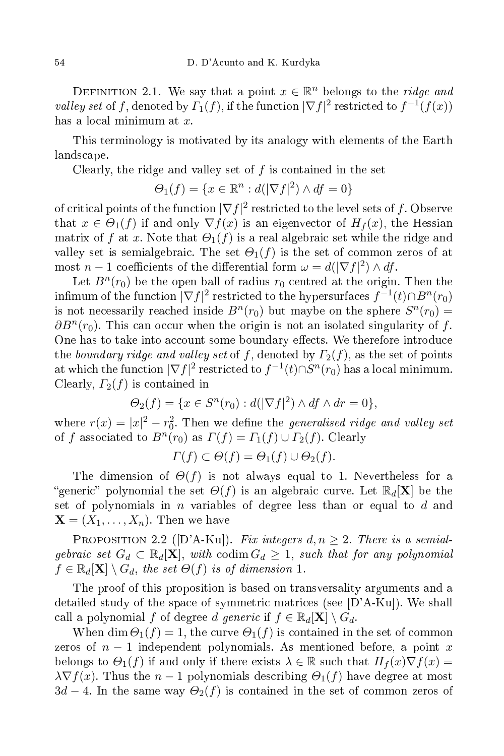DEFINITION 2.1. We say that a point  $x \in \mathbb{R}^n$  belongs to the *ridge and* valley set of f, denoted by  $\Gamma_1(f)$ , if the function  $|\nabla f|^2$  restricted to  $f^{-1}(f(x))$ has a local minimum at  $x$ .

This terminology is motivated by its analogy with elements of the Earth lands
ape.

Clearly, the ridge and valley set of  $f$  is contained in the set

$$
\Theta_1(f) = \{ x \in \mathbb{R}^n : d(|\nabla f|^2) \wedge df = 0 \}
$$

of critical points of the function  $|\nabla f|^2$  restricted to the level sets of f. Observe that  $x \in \Theta_1(f)$  if and only  $\nabla f(x)$  is an eigenvector of  $H_f(x)$ , the Hessian matrix of f at x. Note that  $\Theta_1(f)$  is a real algebraic set while the ridge and valley set is semialgebraic. The set  $\Theta_1(f)$  is the set of common zeros of at most  $n-1$  coefficients of the differential form  $\omega = d(|\nabla f|^2) \wedge df$ .

Let  $B^n(r_0)$  be the open ball of radius  $r_0$  centred at the origin. Then the infimum of the function  $|\nabla f|^2$  restricted to the hypersurfaces  $f^{-1}(t) \cap B^n(r_0)$ is not necessarily reached inside  $B<sup>n</sup>(r<sub>0</sub>)$  but maybe on the sphere  $S<sup>n</sup>(r<sub>0</sub>) =$  $\partial B^n(r_0)$ . This can occur when the origin is not an isolated singularity of f. One has to take into account some boundary effects. We therefore introduce the boundary ridge and valley set of f, denoted by  $\Gamma_2(f)$ , as the set of points at which the function  $|\nabla f|^2$  restricted to  $f^{-1}(t) \cap S^n(r_0)$  has a local minimum. Clearly,  $\Gamma_2(f)$  is contained in

$$
\Theta_2(f) = \{x \in S^n(r_0) : d(|\nabla f|^2) \wedge df \wedge dr = 0\},\
$$

where  $r(x) = |x|^2 - r_0^2$ . Then we define the *generalised ridge and valley set* of f associated to  $B<sup>n</sup>(r<sub>0</sub>)$  as  $\Gamma(f) = \Gamma_1(f) \cup \Gamma_2(f)$ . Clearly

$$
\Gamma(f) \subset \Theta(f) = \Theta_1(f) \cup \Theta_2(f).
$$

The dimension of  $\Theta(f)$  is not always equal to 1. Nevertheless for a "generic" polynomial the set  $\Theta(f)$  is an algebraic curve. Let  $\mathbb{R}_d[\mathbf{X}]$  be the set of polynomials in  $n$  variables of degree less than or equal to  $d$  and  $\mathbf{X} = (X_1, \ldots, X_n)$ . Then we have

PROPOSITION 2.2 ([D'A-Ku]). Fix integers  $d, n \geq 2$ . There is a semialgebraic set  $G_d \subset \mathbb{R}_d[\mathbf{X}]$ , with codim  $G_d \geq 1$ , such that for any polynomial  $f \in \mathbb{R}_d[\mathbf{X}] \setminus G_d$ , the set  $\Theta(f)$  is of dimension 1.

The proof of this proposition is based on transversality arguments and a detailed study of the space of symmetric matrices (see  $[D'A-Ku]$ ). We shall call a polynomial f of degree d generic if  $f \in \mathbb{R}_d[\mathbf{X}] \setminus G_d$ .

When dim  $\Theta_1(f) = 1$ , the curve  $\Theta_1(f)$  is contained in the set of common zeros of  $n-1$  independent polynomials. As mentioned before, a point x belongs to  $\Theta_1(f)$  if and only if there exists  $\lambda \in \mathbb{R}$  such that  $H_f(x)\nabla f(x) =$  $\lambda \nabla f(x)$ . Thus the  $n-1$  polynomials describing  $\Theta_1(f)$  have degree at most  $3d-4$ . In the same way  $\Theta_2(f)$  is contained in the set of common zeros of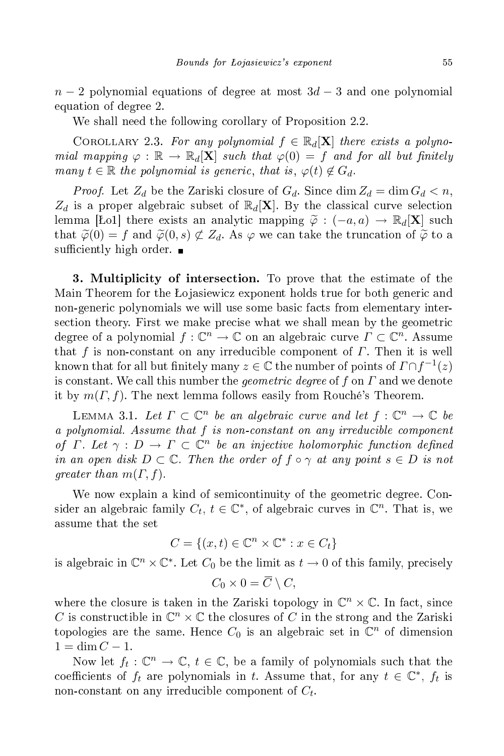$n-2$  polynomial equations of degree at most  $3d-3$  and one polynomial equation of degree 2.

We shall need the following corollary of Proposition 2.2.

COROLLARY 2.3. For any polynomial  $f \in \mathbb{R}_d[X]$  there exists a polynomial mapping  $\varphi : \mathbb{R} \to \mathbb{R}_d[\mathbf{X}]$  such that  $\varphi(0) = f$  and for all but finitely many  $t \in \mathbb{R}$  the polynomial is generic, that is,  $\varphi(t) \notin G_d$ .

*Proof.* Let  $Z_d$  be the Zariski closure of  $G_d$ . Since  $\dim Z_d = \dim G_d < n$ ,  $Z_d$  is a proper algebraic subset of  $\mathbb{R}_d[X]$ . By the classical curve selection lemma [Ło1] there exists an analytic mapping  $\tilde{\varphi}$  : (-a, a)  $\rightarrow \mathbb{R}_d[X]$  such that  $\tilde{\varphi}(0) = f$  and  $\tilde{\varphi}(0, s) \not\subset Z_d$ . As  $\varphi$  we can take the truncation of  $\tilde{\varphi}$  to a sufficiently high order.  $\blacksquare$ 

**3. Multiplicity of intersection.** To prove that the estimate of the Main Theorem for the Lojasiewicz exponent holds true for both generic and non-generic polynomials we will use some basic facts from elementary intersection theory. First we make precise what we shall mean by the geometric degree of a polynomial  $f: \mathbb{C}^n \to \mathbb{C}$  on an algebraic curve  $\Gamma \subset \mathbb{C}^n$ . Assume that f is non-constant on any irreducible component of  $\Gamma$ . Then it is well known that for all but finitely many  $z \in \mathbb{C}$  the number of points of  $\Gamma \cap f^{-1}(z)$ is constant. We call this number the *geometric degree* of f on  $\Gamma$  and we denote it by  $m(\Gamma, f)$ . The next lemma follows easily from Rouché's Theorem.

LEMMA 3.1. Let  $\Gamma \subset \mathbb{C}^n$  be an algebraic curve and let  $f: \mathbb{C}^n \to \mathbb{C}$  be a polynomial. Assume that f is non-constant on any irreducible component of  $\Gamma$ . Let  $\gamma : D \to \Gamma \subset \mathbb{C}^n$  be an injective holomorphic function defined in an open disk  $D \subset \mathbb{C}$ . Then the order of  $f \circ \gamma$  at any point  $s \in D$  is not greater than  $m(\Gamma, f)$ .

We now explain a kind of semicontinuity of the geometric degree. Consider an algebraic family  $C_t$ ,  $t \in \mathbb{C}^*$ , of algebraic curves in  $\mathbb{C}^n$ . That is, we assume that the set

$$
C = \{(x, t) \in \mathbb{C}^n \times \mathbb{C}^* : x \in C_t\}
$$

is algebraic in  $\mathbb{C}^n \times \mathbb{C}^*$ . Let  $C_0$  be the limit as  $t \to 0$  of this family, precisely

$$
C_0 \times 0 = \overline{C} \setminus C,
$$

where the closure is taken in the Zariski topology in  $\mathbb{C}^n \times \mathbb{C}$ . In fact, since  $C$  is constructible in  $\mathbb{C}^n \times \mathbb{C}$  the closures of  $C$  in the strong and the Zariski topologies are the same. Hence  $C_0$  is an algebraic set in  $\mathbb{C}^n$  of dimension  $1 = \dim C - 1.$ 

Now let  $f_t: \mathbb{C}^n \to \mathbb{C}, t \in \mathbb{C}$ , be a family of polynomials such that the coefficients of  $f_t$  are polynomials in t. Assume that, for any  $t \in \mathbb{C}^*$ ,  $f_t$  is non-constant on any irreducible component of  $C_t$ .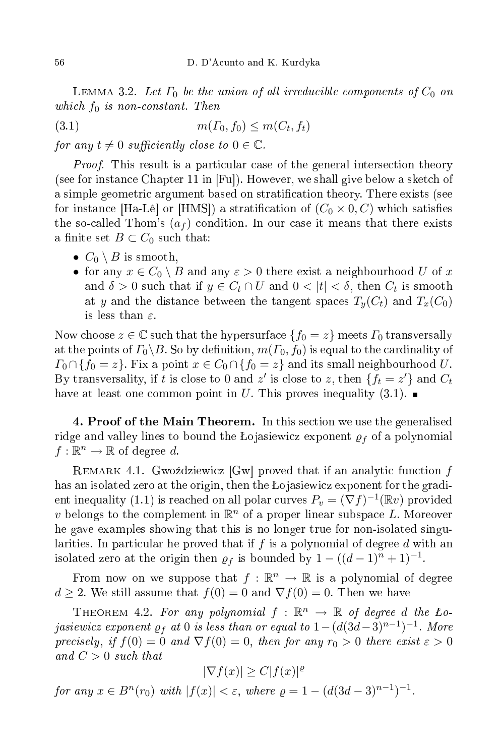LEMMA 3.2. Let  $\Gamma_0$  be the union of all irreducible components of  $C_0$  on which  $f_0$  is non-constant. Then

(3.1)  $m(\Gamma_0, f_0) \le m(C_t, f_t)$ 

for any  $t \neq 0$  sufficiently close to  $0 \in \mathbb{C}$ .

*Proof.* This result is a particular case of the general intersection theory (see for instance Chapter 11 in [Fu]). However, we shall give below a sketch of a simple geometric argument based on stratification theory. There exists (see for instance [Ha-Lê] or [HMS]) a stratification of  $(C_0 \times 0, C)$  which satisfies the so-called Thom's  $(a_f)$  condition. In our case it means that there exists a finite set  $B \subset C_0$  such that:

- $C_0 \setminus B$  is smooth,
- for any  $x \in C_0 \setminus B$  and any  $\varepsilon > 0$  there exist a neighbourhood U of x and  $\delta > 0$  such that if  $y \in C_t \cap U$  and  $0 < |t| < \delta$ , then  $C_t$  is smooth at y and the distance between the tangent spaces  $T_y(C_t)$  and  $T_x(C_0)$ is less than  $\varepsilon$ .

Now choose  $z \in \mathbb{C}$  such that the hypersurface  $\{f_0 = z\}$  meets  $\Gamma_0$  transversally at the points of  $\Gamma_0 \backslash B$ . So by definition,  $m(\Gamma_0, f_0)$  is equal to the cardinality of  $\Gamma_0 \cap \{f_0 = z\}$ . Fix a point  $x \in C_0 \cap \{f_0 = z\}$  and its small neighbourhood U. By transversality, if t is close to 0 and z' is close to z, then  $\{f_t = z'\}$  and  $C_t$ have at least one common point in U. This proves inequality (3.1).

4. Proof of the Main Theorem. In this section we use the generalised ridge and valley lines to bound the Lojasiewicz exponent  $\rho_f$  of a polynomial  $f: \mathbb{R}^n \to \mathbb{R}$  of degree d.

REMARK 4.1. Gwoździewicz  $[Gw]$  proved that if an analytic function  $f$ has an isolated zero at the origin, then the Lojasiewicz exponent for the gradient inequality (1.1) is reached on all polar curves  $P_v = (\nabla f)^{-1}(\mathbb{R}v)$  provided v belongs to the complement in  $\mathbb{R}^n$  of a proper linear subspace L. Moreover he gave examples showing that this is no longer true for non-isolated singularities. In particular he proved that if  $f$  is a polynomial of degree  $d$  with an isolated zero at the origin then  $\rho_f$  is bounded by  $1 - ((d-1)^n + 1)^{-1}$ .

From now on we suppose that  $f : \mathbb{R}^n \to \mathbb{R}$  is a polynomial of degree  $d \geq 2$ . We still assume that  $f(0) = 0$  and  $\nabla f(0) = 0$ . Then we have

THEOREM 4.2. For any polynomial  $f : \mathbb{R}^n \to \mathbb{R}$  of degree d the Lojasiewicz exponent  $\varrho_f$  at 0 is less than or equal to  $1-(d(3d-3)^{n-1})^{-1}$ . More precisely, if  $f(0) = 0$  and  $\nabla f(0) = 0$ , then for any  $r_0 > 0$  there exist  $\varepsilon > 0$ and  $C > 0$  such that

 $|\nabla f(x)| \geq C |f(x)|^{\varrho}$ 

for any  $x \in B<sup>n</sup>(r_0)$  with  $|f(x)| < \varepsilon$ , where  $\rho = 1 - (d(3d - 3)^{n-1})^{-1}$ .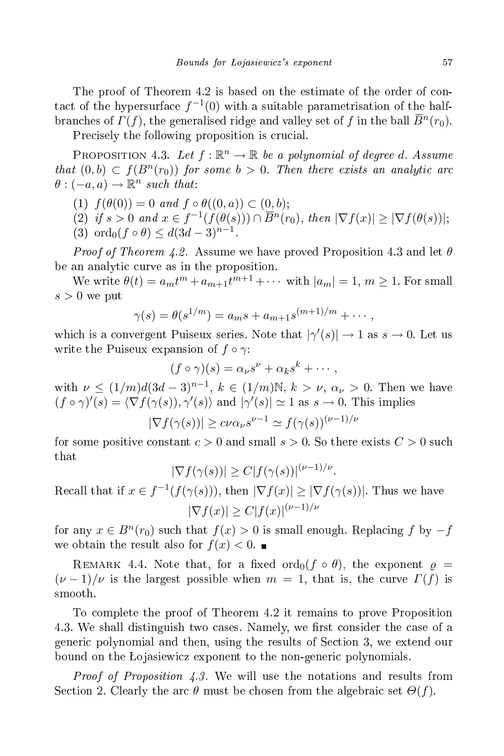The proof of Theorem 4.2 is based on the estimate of the order of contact of the hypersurface  $f^{-1}(0)$  with a suitable parametrisation of the halfbranches of  $\Gamma(f)$ , the generalised ridge and valley set of f in the ball  $\overline{B}{}^n(r_0)$ .

Precisely the following proposition is crucial.

PROPOSITION 4.3. Let  $f : \mathbb{R}^n \to \mathbb{R}$  be a polynomial of degree d. Assume that  $(0,b) \subset f(B^n(r_0))$  for some  $b > 0$ . Then there exists an analytic arc  $\theta: (-a, a) \to \mathbb{R}^n$  such that:

- (1)  $f(\theta(0)) = 0$  and  $f \circ \theta((0, a)) \subset (0, b);$
- (2) if  $s > 0$  and  $x \in f^{-1}(f(\theta(s))) \cap \overline{B}^n(r_0)$ , then  $|\nabla f(x)| \geq |\nabla f(\theta(s))|$ ;
- (3) ord<sub>0</sub> $(f \circ \theta) \leq d(3d-3)^{n-1}$ .

*Proof of Theorem 4.2.* Assume we have proved Proposition 4.3 and let  $\theta$ be an analytic curve as in the proposition.

We write  $\theta(t) = a_m t^m + a_{m+1} t^{m+1} + \cdots$  with  $|a_m| = 1, m \ge 1$ . For small  $s > 0$  we put

$$
\gamma(s) = \theta(s^{1/m}) = a_m s + a_{m+1} s^{(m+1)/m} + \cdots,
$$

which is a convergent Puiseux series. Note that  $|\gamma'(s)| \to 1$  as  $s \to 0$ . Let us write the Puiseux expansion of  $f \circ \gamma$ :

$$
(f \circ \gamma)(s) = \alpha_{\nu} s^{\nu} + \alpha_{k} s^{k} + \cdots,
$$

with  $\nu \le (1/m)d(3d-3)^{n-1}, k \in (1/m)\mathbb{N}, k > \nu, \alpha_{\nu} > 0$ . Then we have  $(f \circ \gamma)'(s) = \langle \nabla f(\gamma(s)), \gamma'(s) \rangle$  and  $|\gamma'(s)| \simeq 1$  as  $s \to 0$ . This implies

$$
|\nabla f(\gamma(s))| \ge c\nu \alpha_{\nu} s^{\nu-1} \simeq f(\gamma(s))^{\nu-1/\nu}
$$

for some positive constant  $c > 0$  and small  $s > 0$ . So there exists  $C > 0$  such  $_{\rm that}$ 

$$
|\nabla f(\gamma(s))| \ge C|f(\gamma(s))|^{(\nu-1)/\nu}.
$$

Recall that if  $x \in f^{-1}(f(\gamma(s)))$ , then  $|\nabla f(x)| \geq |\nabla f(\gamma(s))|$ . Thus we have  $|\nabla f(x)| \ge C |f(x)|^{(\nu-1)/\nu}$ 

for any  $x \in B<sup>n</sup>(r<sub>0</sub>)$  such that  $f(x) > 0$  is small enough. Replacing f by  $-f$ we obtain the result also for  $f(x) < 0$ .

REMARK 4.4. Note that, for a fixed ord<sub>0</sub>( $f \circ \theta$ ), the exponent  $\rho =$  $(\nu-1)/\nu$  is the largest possible when  $m=1$ , that is, the curve  $\Gamma(f)$  is smooth.

To omplete the proof of Theorem 4.2 it remains to prove Proposition 4.3. We shall distinguish two cases. Namely, we first consider the case of a generi polynomial and then, using the results of Se
tion 3, we extend our bound on the Lojasiewicz exponent to the non-generic polynomials.

*Proof of Proposition 4.3.* We will use the notations and results from Section 2. Clearly the arc  $\theta$  must be chosen from the algebraic set  $\Theta(f)$ .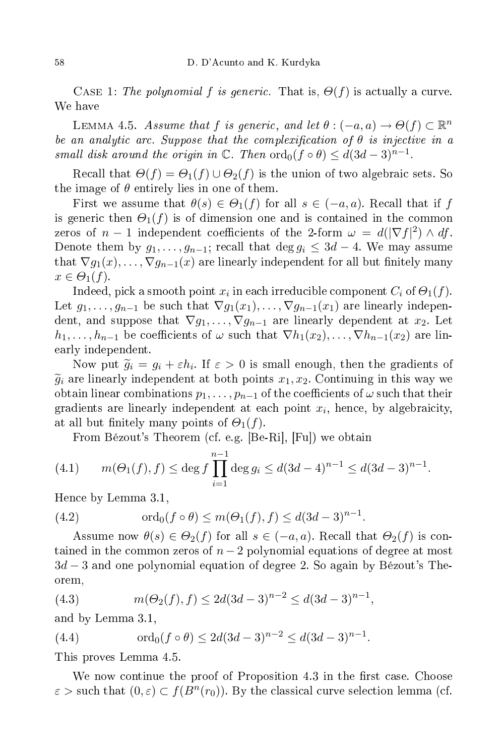CASE 1: The polynomial f is generic. That is,  $\Theta(f)$  is actually a curve. We have

LEMMA 4.5. Assume that f is generic, and let  $\theta: (-a, a) \to \Theta(f) \subset \mathbb{R}^n$ be an analytic arc. Suppose that the complexification of  $\theta$  is injective in a small disk around the origin in  $\mathbb C$ . Then  $\operatorname{ord}_0(f \circ \theta) \leq d(3d-3)^{n-1}$ .

Recall that  $\Theta(f) = \Theta_1(f) \cup \Theta_2(f)$  is the union of two algebraic sets. So the image of  $\theta$  entirely lies in one of them.

First we assume that  $\theta(s) \in \Theta_1(f)$  for all  $s \in (-a, a)$ . Recall that if f is generic then  $\Theta_1(f)$  is of dimension one and is contained in the common zeros of  $n-1$  independent coefficients of the 2-form  $\omega = d(|\nabla f|^2) \wedge df$ . Denote them by  $g_1, \ldots, g_{n-1}$ ; recall that deg  $g_i \leq 3d - 4$ . We may assume that  $\nabla g_1(x), \ldots, \nabla g_{n-1}(x)$  are linearly independent for all but finitely many  $x \in \Theta_1(f)$ .

Indeed, pick a smooth point  $x_i$  in each irreducible component  $C_i$  of  $\Theta_1(f).$ Let  $g_1, \ldots, g_{n-1}$  be such that  $\nabla g_1(x_1), \ldots, \nabla g_{n-1}(x_1)$  are linearly independent, and suppose that  $\nabla g_1, \ldots, \nabla g_{n-1}$  are linearly dependent at  $x_2$ . Let  $h_1, \ldots, h_{n-1}$  be coefficients of  $\omega$  such that  $\nabla h_1(x_2), \ldots, \nabla h_{n-1}(x_2)$  are linearly independent.

Now put  $\widetilde{g}_i = g_i + \varepsilon h_i$ . If  $\varepsilon > 0$  is small enough, then the gradients of  $\widetilde{g}_i$  are linearly independent at both points  $x_1, x_2$ . Continuing in this way we obtain linear combinations  $p_1, \ldots, p_{n-1}$  of the coefficients of  $\omega$  such that their gradients are linearly independent at each point  $x_i$ , hence, by algebraicity, at all but finitely many points of  $\Theta_1(f)$ .

From Bézout's Theorem (cf. e.g. [Be-Ri], [Fu]) we obtain

(4.1) 
$$
m(\Theta_1(f), f) \le \deg f \prod_{i=1}^{n-1} \deg g_i \le d(3d-4)^{n-1} \le d(3d-3)^{n-1}.
$$

Hen
e by Lemma 3.1,

(4.2)  $\text{ord}_0(f \circ \theta) \leq m(\Theta_1(f), f) \leq d(3d-3)^{n-1}.$ 

Assume now  $\theta(s) \in \Theta_2(f)$  for all  $s \in (-a, a)$ . Recall that  $\Theta_2(f)$  is contained in the common zeros of  $n-2$  polynomial equations of degree at most 3d − 3 and one polynomial equation of degree 2. So again by Bézout's Theorem,

(4.3) 
$$
m(\Theta_2(f), f) \le 2d(3d-3)^{n-2} \le d(3d-3)^{n-1},
$$

and by Lemma 3.1,

(4.4) 
$$
\operatorname{ord}_0(f \circ \theta) \le 2d(3d-3)^{n-2} \le d(3d-3)^{n-1}.
$$

This proves Lemma 4.5.

We now continue the proof of Proposition 4.3 in the first case. Choose  $\varepsilon$  > such that  $(0, \varepsilon) \subset f(B^n(r_0))$ . By the classical curve selection lemma (cf.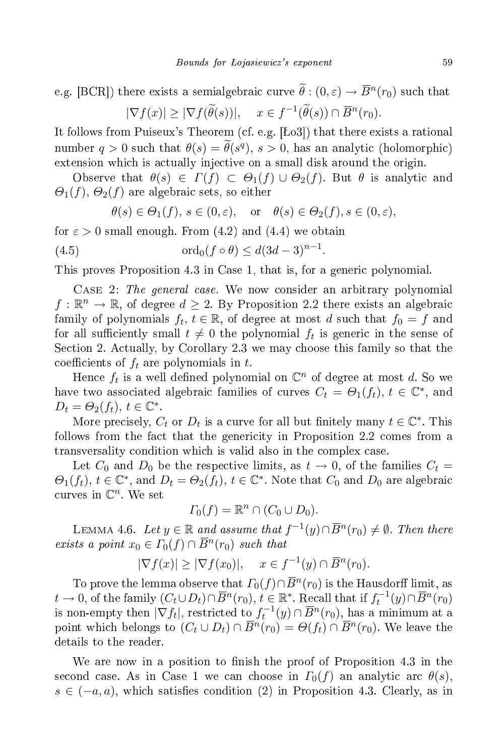e.g. [BCR]) there exists a semialgebraic curve  $\theta$  :  $(0, \varepsilon) \to \overline{B}^n(r_0)$  such that  $|\nabla f(x)| \geq |\nabla f(\widetilde{\theta}(s))|, \quad x \in f^{-1}(\widetilde{\theta}(s)) \cap \overline{B}^n(r_0).$ 

It follows from Puiseux's Theorem (cf. e.g.  $[Lo3]$ ) that there exists a rational number  $q > 0$  such that  $\theta(s) = \theta(s^q)$ ,  $s > 0$ , has an analytic (holomorphic) extension which is actually injective on a small disk around the origin.

Observe that  $\theta(s) \in \Gamma(f) \subset \Theta_1(f) \cup \Theta_2(f)$ . But  $\theta$  is analytic and  $\Theta_1(f)$ ,  $\Theta_2(f)$  are algebraic sets, so either

$$
\theta(s) \in \Theta_1(f), s \in (0, \varepsilon), \text{ or } \theta(s) \in \Theta_2(f), s \in (0, \varepsilon),
$$

.

for  $\varepsilon > 0$  small enough. From (4.2) and (4.4) we obtain

(4.5) 
$$
\operatorname{ord}_0(f \circ \theta) \leq d(3d-3)^{n-1}
$$

This proves Proposition 4.3 in Case 1, that is, for a generi polynomial.

CASE 2: The general case. We now consider an arbitrary polynomial  $f: \mathbb{R}^n \to \mathbb{R}$ , of degree  $d \geq 2$ . By Proposition 2.2 there exists an algebraic family of polynomials  $f_t, t \in \mathbb{R}$ , of degree at most d such that  $f_0 = f$  and for all sufficiently small  $t \neq 0$  the polynomial  $f_t$  is generic in the sense of Section 2. Actually, by Corollary 2.3 we may choose this family so that the coefficients of  $f_t$  are polynomials in t.

Hence  $f_t$  is a well defined polynomial on  $\mathbb{C}^n$  of degree at most d. So we have two associated algebraic families of curves  $C_t = \Theta_1(f_t)$ ,  $t \in \mathbb{C}^*$ , and  $D_t = \Theta_2(f_t), t \in \mathbb{C}^*.$ 

More precisely,  $C_t$  or  $D_t$  is a curve for all but finitely many  $t \in \mathbb{C}^*$ . This follows from the fact that the genericity in Proposition 2.2 comes from a transversality ondition whi
h is valid also in the omplex ase.

Let  $C_0$  and  $D_0$  be the respective limits, as  $t \to 0$ , of the families  $C_t =$  $\Theta_1(f_t)$ ,  $t \in \mathbb{C}^*$ , and  $D_t = \Theta_2(f_t)$ ,  $t \in \mathbb{C}^*$ . Note that  $C_0$  and  $D_0$  are algebraic curves in  $\mathbb{C}^n$ . We set

$$
\Gamma_0(f) = \mathbb{R}^n \cap (C_0 \cup D_0).
$$

LEMMA 4.6. Let  $y \in \mathbb{R}$  and assume that  $f^{-1}(y) \cap \overline{B}^n(r_0) \neq \emptyset$ . Then there exists a point  $x_0 \in \Gamma_0(f) \cap \overline{B}^n(r_0)$  such that

$$
|\nabla f(x)| \ge |\nabla f(x_0)|, \quad x \in f^{-1}(y) \cap \overline{B}^n(r_0).
$$

To prove the lemma observe that  $\varGamma_0(f)\!\cap\!\overline{B}{}^n(r_0)$  is the Hausdorff limit, as  $t \to 0$ , of the family  $(C_t \cup D_t) \cap \overline{B}^n(r_0)$ ,  $t \in \mathbb{R}^*$ . Recall that if  $f_t^{-1}(y) \cap \overline{B}^n(r_0)$ is non-empty then  $|\nabla f_t|$ , restricted to  $f_t^{-1}(y) \cap \overline{B}^n(r_0)$ , has a minimum at a point which belongs to  $(C_t \cup D_t) \cap \overline{B}^n(r_0) = \Theta(f_t) \cap \overline{B}^n(r_0)$ . We leave the details to the reader.

We are now in a position to finish the proof of Proposition 4.3 in the second case. As in Case 1 we can choose in  $\Gamma_0(f)$  an analytic arc  $\theta(s)$ ,  $s \in (-a, a)$ , which satisfies condition (2) in Proposition 4.3. Clearly, as in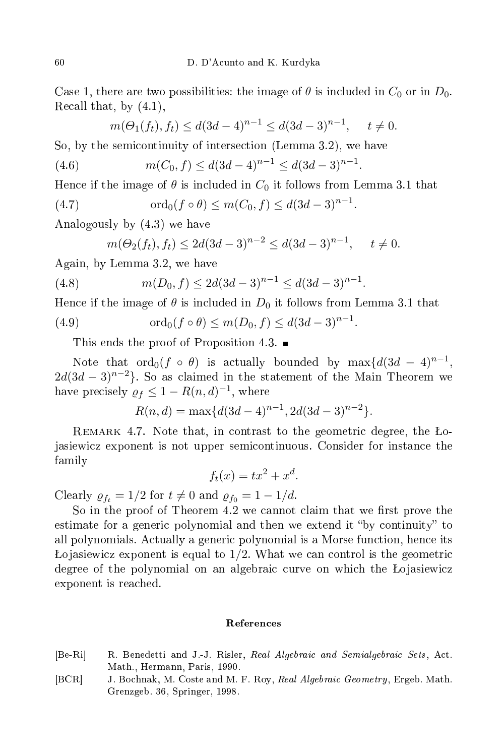Case 1, there are two possibilities: the image of  $\theta$  is included in  $C_0$  or in  $D_0$ . Re
all that, by (4.1),

$$
m(\Theta_1(f_t), f_t) \leq d(3d-4)^{n-1} \leq d(3d-3)^{n-1}, \quad t \neq 0.
$$

So, by the semicontinuity of intersection (Lemma 3.2), we have So, by the semi
ontinuity of interse
tion (Lemma 3.2), we have

(4.6) 
$$
m(C_0, f) \le d(3d - 4)^{n-1} \le d(3d - 3)^{n-1}.
$$

Hence if the image of  $\theta$  is included in  $C_0$  it follows from Lemma 3.1 that

(4.7) 
$$
\text{ord}_0(f \circ \theta) \le m(C_0, f) \le d(3d - 3)^{n-1}.
$$

Analogously by (4.3) we have

$$
m(\Theta_2(f_t), f_t) \leq 2d(3d-3)^{n-2} \leq d(3d-3)^{n-1}, \quad t \neq 0.
$$

Again, by Lemma 3.2, we have

(4.8) 
$$
m(D_0, f) \le 2d(3d-3)^{n-1} \le d(3d-3)^{n-1}.
$$

Hence if the image of  $\theta$  is included in  $D_0$  it follows from Lemma 3.1 that

(4.9) 
$$
\text{ord}_0(f \circ \theta) \le m(D_0, f) \le d(3d - 3)^{n-1}.
$$

This ends the proof of Proposition 4.3.  $\blacksquare$ 

Note that  $\operatorname{ord}_0(f \circ \theta)$  is actually bounded by  $\max\{d(3d-4)^{n-1},\}$  $2d(3d-3)^{n-2}$ . So as claimed in the statement of the Main Theorem we have precisely  $\rho_f \leq 1 - R(n, d)^{-1}$ , where

$$
R(n,d) = \max\{d(3d-4)^{n-1}, 2d(3d-3)^{n-2}\}.
$$

REMARK 4.7. Note that, in contrast to the geometric degree, the Łojasiewi
z exponent is not upper semi
ontinuous. Consider for instan
e the family

$$
f_t(x) = tx^2 + x^d.
$$

Clearly  $\rho_{f_t} = 1/2$  for  $t \neq 0$  and  $\rho_{f_0} = 1 - 1/d$ .

So in the proof of Theorem 4.2 we cannot claim that we first prove the estimate for a generic polynomial and then we extend it "by continuity" to all polynomials. Actually a generic polynomial is a Morse function, hence its Lojasiewicz exponent is equal to  $1/2$ . What we can control is the geometric degree of the polynomial on an algebraic curve on which the Lojasiewicz exponent is rea
hed.

## Referen
es

- [Be-Ri] R. Benedetti and J.-J. Risler, Real Algebraic and Semialgebraic Sets, Act. Math., Hermann, Paris, 1990.
- [BCR] J. Bochnak, M. Coste and M. F. Roy, Real Algebraic Geometry, Ergeb. Math. Grenzgeb. 36, Springer, 1998.